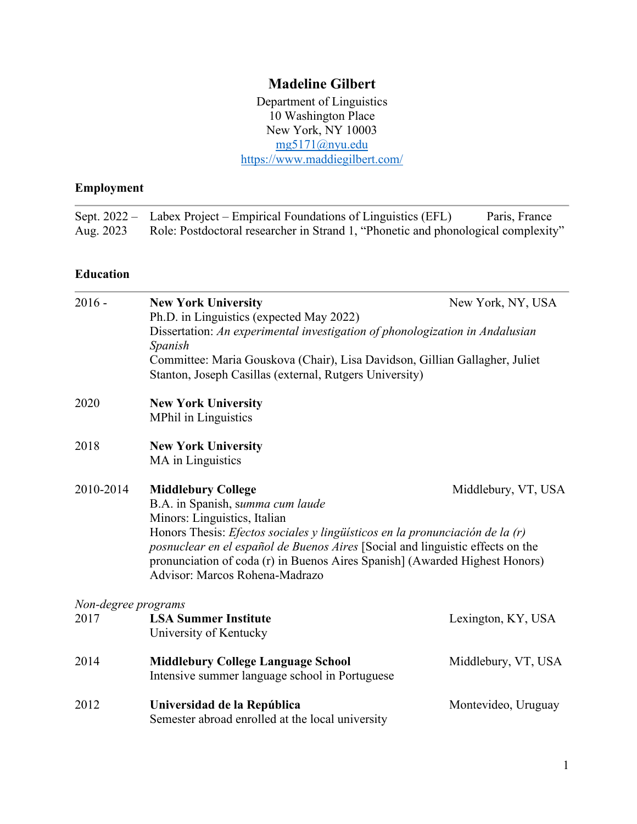# **Madeline Gilbert**

Department of Linguistics 10 Washington Place New York, NY 10003 [mg5171@nyu.edu](mailto:mg5171@nyu.edu) <https://www.maddiegilbert.com/>

## **Employment**

|           | Sept. 2022 – Labex Project – Empirical Foundations of Linguistics (EFL)           | Paris, France |
|-----------|-----------------------------------------------------------------------------------|---------------|
| Aug. 2023 | Role: Postdoctoral researcher in Strand 1, "Phonetic and phonological complexity" |               |

#### **Education**

| $2016 -$            | <b>New York University</b><br>Ph.D. in Linguistics (expected May 2022)                                                                                                                                                                                                                                                                                                                  | New York, NY, USA   |
|---------------------|-----------------------------------------------------------------------------------------------------------------------------------------------------------------------------------------------------------------------------------------------------------------------------------------------------------------------------------------------------------------------------------------|---------------------|
|                     | Dissertation: An experimental investigation of phonologization in Andalusian<br>Spanish                                                                                                                                                                                                                                                                                                 |                     |
|                     | Committee: Maria Gouskova (Chair), Lisa Davidson, Gillian Gallagher, Juliet<br>Stanton, Joseph Casillas (external, Rutgers University)                                                                                                                                                                                                                                                  |                     |
| 2020                | <b>New York University</b><br><b>MPhil in Linguistics</b>                                                                                                                                                                                                                                                                                                                               |                     |
| 2018                | <b>New York University</b><br>MA in Linguistics                                                                                                                                                                                                                                                                                                                                         |                     |
| 2010-2014           | <b>Middlebury College</b><br>B.A. in Spanish, summa cum laude<br>Minors: Linguistics, Italian<br>Honors Thesis: <i>Efectos sociales y lingüísticos en la pronunciación de la (r)</i><br>posnuclear en el español de Buenos Aires [Social and linguistic effects on the<br>pronunciation of coda (r) in Buenos Aires Spanish] (Awarded Highest Honors)<br>Advisor: Marcos Rohena-Madrazo | Middlebury, VT, USA |
| Non-degree programs |                                                                                                                                                                                                                                                                                                                                                                                         |                     |
| 2017                | <b>LSA Summer Institute</b><br>University of Kentucky                                                                                                                                                                                                                                                                                                                                   | Lexington, KY, USA  |
| 2014                | <b>Middlebury College Language School</b><br>Intensive summer language school in Portuguese                                                                                                                                                                                                                                                                                             | Middlebury, VT, USA |
| 2012                | Universidad de la República<br>Semester abroad enrolled at the local university                                                                                                                                                                                                                                                                                                         | Montevideo, Uruguay |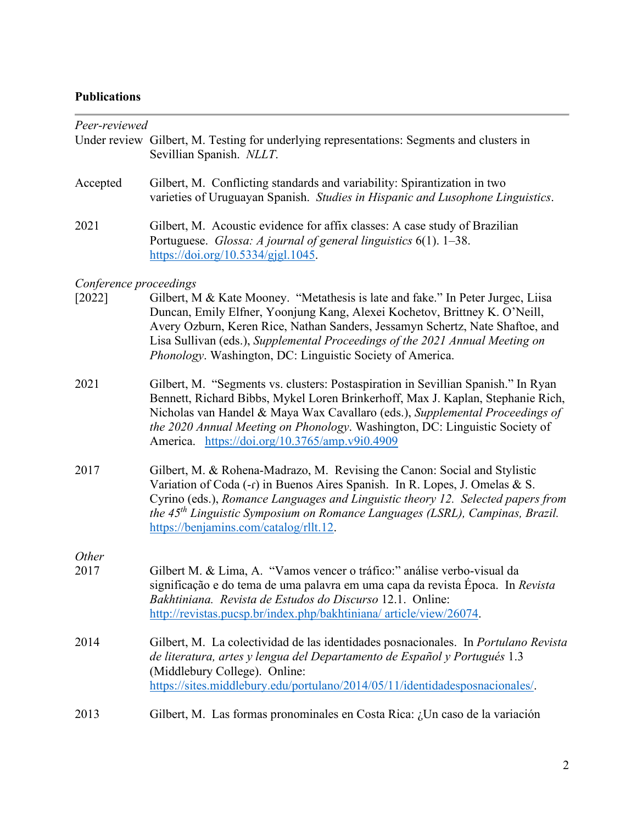# **Publications**

| Peer-reviewed          |                                                                                                                                                                                                                                                                                                                                                                                             |
|------------------------|---------------------------------------------------------------------------------------------------------------------------------------------------------------------------------------------------------------------------------------------------------------------------------------------------------------------------------------------------------------------------------------------|
|                        | Under review Gilbert, M. Testing for underlying representations: Segments and clusters in<br>Sevillian Spanish. NLLT.                                                                                                                                                                                                                                                                       |
| Accepted               | Gilbert, M. Conflicting standards and variability: Spirantization in two<br>varieties of Uruguayan Spanish. Studies in Hispanic and Lusophone Linguistics.                                                                                                                                                                                                                                  |
| 2021                   | Gilbert, M. Acoustic evidence for affix classes: A case study of Brazilian<br>Portuguese. Glossa: A journal of general linguistics 6(1). 1-38.<br>https://doi.org/10.5334/gjgl.1045.                                                                                                                                                                                                        |
| Conference proceedings |                                                                                                                                                                                                                                                                                                                                                                                             |
| $[2022]$               | Gilbert, M & Kate Mooney. "Metathesis is late and fake." In Peter Jurgec, Liisa<br>Duncan, Emily Elfner, Yoonjung Kang, Alexei Kochetov, Brittney K. O'Neill,<br>Avery Ozburn, Keren Rice, Nathan Sanders, Jessamyn Schertz, Nate Shaftoe, and<br>Lisa Sullivan (eds.), Supplemental Proceedings of the 2021 Annual Meeting on<br>Phonology. Washington, DC: Linguistic Society of America. |
| 2021                   | Gilbert, M. "Segments vs. clusters: Postaspiration in Sevillian Spanish." In Ryan<br>Bennett, Richard Bibbs, Mykel Loren Brinkerhoff, Max J. Kaplan, Stephanie Rich,<br>Nicholas van Handel & Maya Wax Cavallaro (eds.), Supplemental Proceedings of<br>the 2020 Annual Meeting on Phonology. Washington, DC: Linguistic Society of<br>America. https://doi.org/10.3765/amp.v9i0.4909       |
| 2017                   | Gilbert, M. & Rohena-Madrazo, M. Revising the Canon: Social and Stylistic<br>Variation of Coda (-r) in Buenos Aires Spanish. In R. Lopes, J. Omelas & S.<br>Cyrino (eds.), Romance Languages and Linguistic theory 12. Selected papers from<br>the 45 <sup>th</sup> Linguistic Symposium on Romance Languages (LSRL), Campinas, Brazil.<br>https://benjamins.com/catalog/rllt.12.           |
| Other                  |                                                                                                                                                                                                                                                                                                                                                                                             |
| 2017                   | Gilbert M. & Lima, A. "Vamos vencer o tráfico:" análise verbo-visual da<br>significação e do tema de uma palavra em uma capa da revista Época. In Revista<br>Bakhtiniana. Revista de Estudos do Discurso 12.1. Online:<br>http://revistas.pucsp.br/index.php/bakhtiniana/article/view/26074.                                                                                                |
| 2014                   | Gilbert, M. La colectividad de las identidades posnacionales. In Portulano Revista<br>de literatura, artes y lengua del Departamento de Español y Portugués 1.3<br>(Middlebury College). Online:<br>https://sites.middlebury.edu/portulano/2014/05/11/identidadesposnacionales/.                                                                                                            |
| 2013                   | Gilbert, M. Las formas pronominales en Costa Rica: ¿Un caso de la variación                                                                                                                                                                                                                                                                                                                 |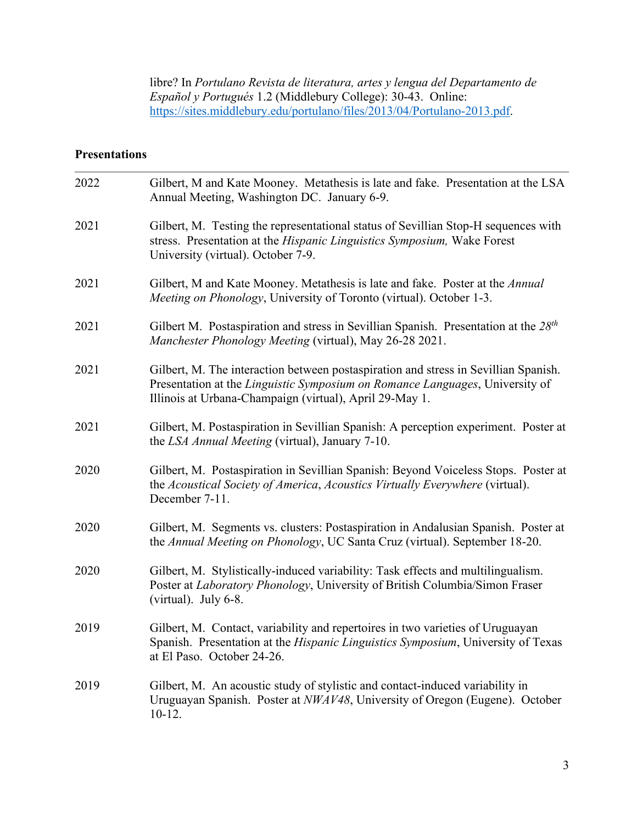libre? In *Portulano Revista de literatura, artes y lengua del Departamento de Español y Portugués* 1.2 (Middlebury College): 30-43. Online: [https://sites.middlebury.edu/portulano/files/2013/04/Portulano-2013.pdf.](https://sites.middlebury.edu/portulano/files/2013/04/Portulano-2013.pdf)

## **Presentations**

| 2022 | Gilbert, M and Kate Mooney. Metathesis is late and fake. Presentation at the LSA<br>Annual Meeting, Washington DC. January 6-9.                                                                                                |
|------|--------------------------------------------------------------------------------------------------------------------------------------------------------------------------------------------------------------------------------|
| 2021 | Gilbert, M. Testing the representational status of Sevillian Stop-H sequences with<br>stress. Presentation at the Hispanic Linguistics Symposium, Wake Forest<br>University (virtual). October 7-9.                            |
| 2021 | Gilbert, M and Kate Mooney. Metathesis is late and fake. Poster at the Annual<br>Meeting on Phonology, University of Toronto (virtual). October 1-3.                                                                           |
| 2021 | Gilbert M. Postaspiration and stress in Sevillian Spanish. Presentation at the $28th$<br>Manchester Phonology Meeting (virtual), May 26-28 2021.                                                                               |
| 2021 | Gilbert, M. The interaction between postaspiration and stress in Sevillian Spanish.<br>Presentation at the Linguistic Symposium on Romance Languages, University of<br>Illinois at Urbana-Champaign (virtual), April 29-May 1. |
| 2021 | Gilbert, M. Postaspiration in Sevillian Spanish: A perception experiment. Poster at<br>the LSA Annual Meeting (virtual), January 7-10.                                                                                         |
| 2020 | Gilbert, M. Postaspiration in Sevillian Spanish: Beyond Voiceless Stops. Poster at<br>the Acoustical Society of America, Acoustics Virtually Everywhere (virtual).<br>December 7-11.                                           |
| 2020 | Gilbert, M. Segments vs. clusters: Postaspiration in Andalusian Spanish. Poster at<br>the Annual Meeting on Phonology, UC Santa Cruz (virtual). September 18-20.                                                               |
| 2020 | Gilbert, M. Stylistically-induced variability: Task effects and multilingualism.<br>Poster at Laboratory Phonology, University of British Columbia/Simon Fraser<br>(virtual). July 6-8.                                        |
| 2019 | Gilbert, M. Contact, variability and repertoires in two varieties of Uruguayan<br>Spanish. Presentation at the Hispanic Linguistics Symposium, University of Texas<br>at El Paso. October 24-26.                               |
| 2019 | Gilbert, M. An acoustic study of stylistic and contact-induced variability in<br>Uruguayan Spanish. Poster at NWAV48, University of Oregon (Eugene). October<br>$10-12.$                                                       |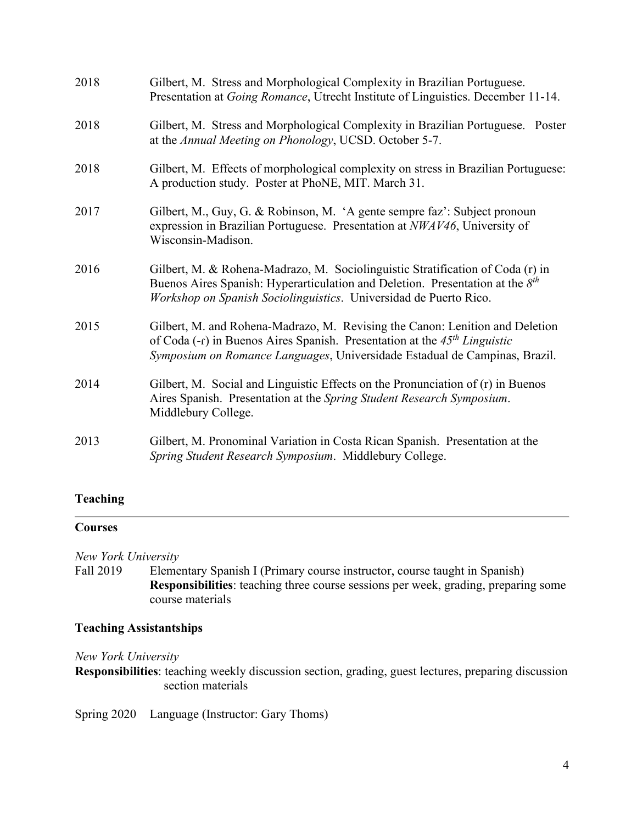| 2018 | Gilbert, M. Stress and Morphological Complexity in Brazilian Portuguese.<br>Presentation at <i>Going Romance</i> , Utrecht Institute of Linguistics. December 11-14.                                                                                  |
|------|-------------------------------------------------------------------------------------------------------------------------------------------------------------------------------------------------------------------------------------------------------|
| 2018 | Gilbert, M. Stress and Morphological Complexity in Brazilian Portuguese. Poster<br>at the Annual Meeting on Phonology, UCSD. October 5-7.                                                                                                             |
| 2018 | Gilbert, M. Effects of morphological complexity on stress in Brazilian Portuguese:<br>A production study. Poster at PhoNE, MIT. March 31.                                                                                                             |
| 2017 | Gilbert, M., Guy, G. & Robinson, M. 'A gente sempre faz': Subject pronoun<br>expression in Brazilian Portuguese. Presentation at NWAV46, University of<br>Wisconsin-Madison.                                                                          |
| 2016 | Gilbert, M. & Rohena-Madrazo, M. Sociolinguistic Stratification of Coda (r) in<br>Buenos Aires Spanish: Hyperarticulation and Deletion. Presentation at the $8th$<br>Workshop on Spanish Sociolinguistics. Universidad de Puerto Rico.                |
| 2015 | Gilbert, M. and Rohena-Madrazo, M. Revising the Canon: Lenition and Deletion<br>of Coda $(-r)$ in Buenos Aires Spanish. Presentation at the 45 <sup>th</sup> Linguistic<br>Symposium on Romance Languages, Universidade Estadual de Campinas, Brazil. |
| 2014 | Gilbert, M. Social and Linguistic Effects on the Pronunciation of (r) in Buenos<br>Aires Spanish. Presentation at the Spring Student Research Symposium.<br>Middlebury College.                                                                       |
| 2013 | Gilbert, M. Pronominal Variation in Costa Rican Spanish. Presentation at the<br>Spring Student Research Symposium. Middlebury College.                                                                                                                |

#### **Teaching**

#### **Courses**

*New York University*

Fall 2019 Elementary Spanish I (Primary course instructor, course taught in Spanish) **Responsibilities**: teaching three course sessions per week, grading, preparing some course materials

#### **Teaching Assistantships**

*New York University*

**Responsibilities**: teaching weekly discussion section, grading, guest lectures, preparing discussion section materials

Spring 2020 Language (Instructor: Gary Thoms)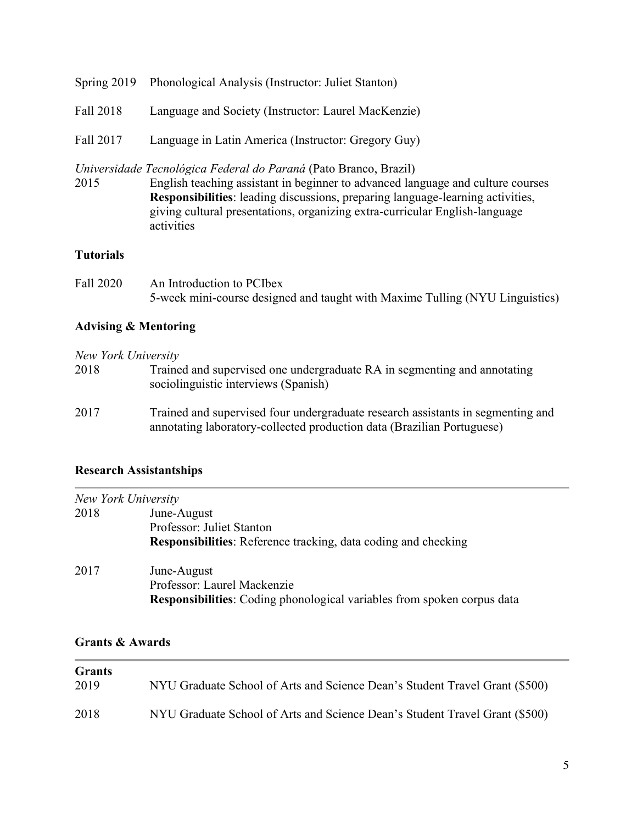|           | Spring 2019 Phonological Analysis (Instructor: Juliet Stanton)                                                                                   |
|-----------|--------------------------------------------------------------------------------------------------------------------------------------------------|
| Fall 2018 | Language and Society (Instructor: Laurel MacKenzie)                                                                                              |
| Fall 2017 | Language in Latin America (Instructor: Gregory Guy)                                                                                              |
| 2015      | Universidade Tecnológica Federal do Paraná (Pato Branco, Brazil)<br>English too shine essistent in heainnen to edysneed lenguese and sulture equ |

2015 English teaching assistant in beginner to advanced language and culture courses **Responsibilities**: leading discussions, preparing language-learning activities, giving cultural presentations, organizing extra-curricular English-language activities

#### **Tutorials**

Fall 2020 An Introduction to PCIbex 5-week mini-course designed and taught with Maxime Tulling (NYU Linguistics)

### **Advising & Mentoring**

*New York University*

| 2018 | Trained and supervised one undergraduate RA in segmenting and annotating |
|------|--------------------------------------------------------------------------|
|      | sociolinguistic interviews (Spanish)                                     |

2017 Trained and supervised four undergraduate research assistants in segmenting and annotating laboratory-collected production data (Brazilian Portuguese)

### **Research Assistantships**

|      | New York University                                                     |
|------|-------------------------------------------------------------------------|
| 2018 | June-August                                                             |
|      | Professor: Juliet Stanton                                               |
|      | <b>Responsibilities:</b> Reference tracking, data coding and checking   |
| 2017 | June-August                                                             |
|      | Professor: Laurel Mackenzie                                             |
|      | Responsibilities: Coding phonological variables from spoken corpus data |

## **Grants & Awards**

| <b>Grants</b><br>2019 | NYU Graduate School of Arts and Science Dean's Student Travel Grant (\$500) |
|-----------------------|-----------------------------------------------------------------------------|
| 2018                  | NYU Graduate School of Arts and Science Dean's Student Travel Grant (\$500) |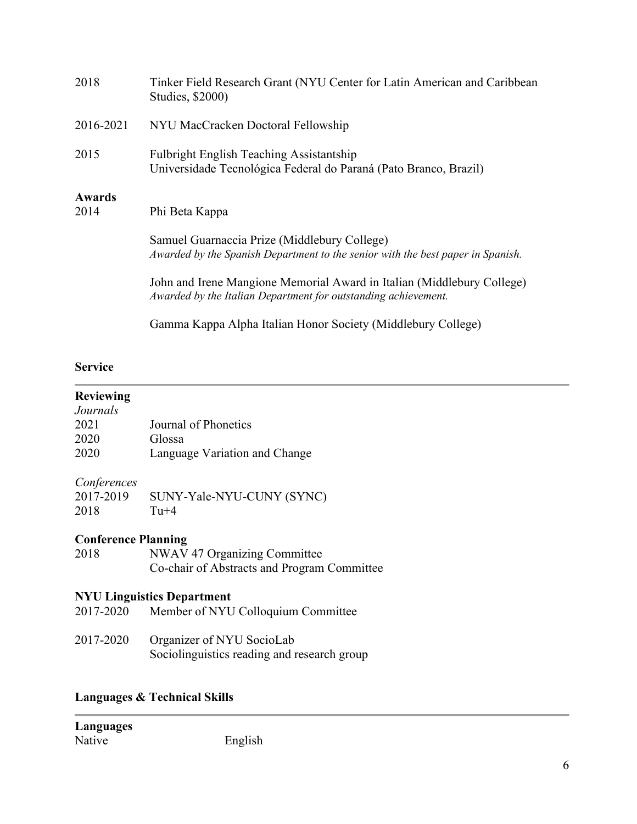| 2018           | Tinker Field Research Grant (NYU Center for Latin American and Caribbean<br>Studies, \$2000)                                             |
|----------------|------------------------------------------------------------------------------------------------------------------------------------------|
| 2016-2021      | NYU MacCracken Doctoral Fellowship                                                                                                       |
| 2015           | <b>Fulbright English Teaching Assistantship</b><br>Universidade Tecnológica Federal do Paraná (Pato Branco, Brazil)                      |
| Awards<br>2014 | Phi Beta Kappa                                                                                                                           |
|                | Samuel Guarnaccia Prize (Middlebury College)<br>Awarded by the Spanish Department to the senior with the best paper in Spanish.          |
|                | John and Irene Mangione Memorial Award in Italian (Middlebury College)<br>Awarded by the Italian Department for outstanding achievement. |
|                | Gamma Kappa Alpha Italian Honor Society (Middlebury College)                                                                             |

#### **Service**

#### **Reviewing** *Journals*

| <i>JOUI IIUIS</i> |                               |
|-------------------|-------------------------------|
| 2021              | Journal of Phonetics          |
| 2020              | Glossa                        |
| 2020              | Language Variation and Change |

#### *Conferences*

| .<br>2017-2019 | SUNY-Yale-NYU-CUNY (SYNC) |
|----------------|---------------------------|
| 2018           | $Tu+4$                    |

# **Conference Planning**

| 2018 | NWAV 47 Organizing Committee                |
|------|---------------------------------------------|
|      | Co-chair of Abstracts and Program Committee |

# **NYU Linguistics Department**

- 2017-2020 Member of NYU Colloquium Committee
- 2017-2020 Organizer of NYU SocioLab Sociolinguistics reading and research group

## **Languages & Technical Skills**

| Languages |         |
|-----------|---------|
| Native    | English |